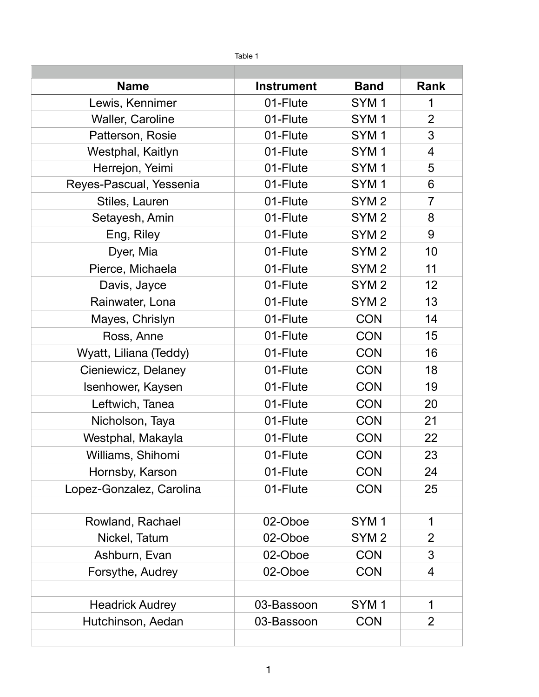| Table 1                  |                   |                  |                |
|--------------------------|-------------------|------------------|----------------|
|                          |                   |                  |                |
| <b>Name</b>              | <b>Instrument</b> | <b>Band</b>      | <b>Rank</b>    |
| Lewis, Kennimer          | 01-Flute          | SYM <sub>1</sub> | 1              |
| Waller, Caroline         | 01-Flute          | SYM <sub>1</sub> | $\overline{2}$ |
| Patterson, Rosie         | 01-Flute          | SYM <sub>1</sub> | 3              |
| Westphal, Kaitlyn        | 01-Flute          | SYM <sub>1</sub> | $\overline{4}$ |
| Herrejon, Yeimi          | 01-Flute          | SYM <sub>1</sub> | 5              |
| Reyes-Pascual, Yessenia  | 01-Flute          | SYM <sub>1</sub> | 6              |
| Stiles, Lauren           | 01-Flute          | SYM <sub>2</sub> | $\overline{7}$ |
| Setayesh, Amin           | 01-Flute          | SYM <sub>2</sub> | 8              |
| Eng, Riley               | 01-Flute          | SYM <sub>2</sub> | 9              |
| Dyer, Mia                | 01-Flute          | SYM <sub>2</sub> | 10             |
| Pierce, Michaela         | 01-Flute          | SYM <sub>2</sub> | 11             |
| Davis, Jayce             | 01-Flute          | SYM <sub>2</sub> | 12             |
| Rainwater, Lona          | 01-Flute          | SYM <sub>2</sub> | 13             |
| Mayes, Chrislyn          | 01-Flute          | <b>CON</b>       | 14             |
| Ross, Anne               | 01-Flute          | <b>CON</b>       | 15             |
| Wyatt, Liliana (Teddy)   | 01-Flute          | <b>CON</b>       | 16             |
| Cieniewicz, Delaney      | 01-Flute          | <b>CON</b>       | 18             |
| Isenhower, Kaysen        | 01-Flute          | <b>CON</b>       | 19             |
| Leftwich, Tanea          | 01-Flute          | <b>CON</b>       | 20             |
| Nicholson, Taya          | 01-Flute          | <b>CON</b>       | 21             |
| Westphal, Makayla        | 01-Flute          | <b>CON</b>       | 22             |
| Williams, Shihomi        | 01-Flute          | <b>CON</b>       | 23             |
| Hornsby, Karson          | 01-Flute          | <b>CON</b>       | 24             |
| Lopez-Gonzalez, Carolina | 01-Flute          | <b>CON</b>       | 25             |
|                          |                   |                  |                |
| Rowland, Rachael         | 02-Oboe           | SYM <sub>1</sub> | 1              |
| Nickel, Tatum            | 02-Oboe           | SYM <sub>2</sub> | $\overline{2}$ |
| Ashburn, Evan            | 02-Oboe           | <b>CON</b>       | 3              |
| Forsythe, Audrey         | 02-Oboe           | <b>CON</b>       | 4              |
|                          |                   |                  |                |
| <b>Headrick Audrey</b>   | 03-Bassoon        | SYM <sub>1</sub> | $\mathbf 1$    |
| Hutchinson, Aedan        | 03-Bassoon        | <b>CON</b>       | $\overline{2}$ |
|                          |                   |                  |                |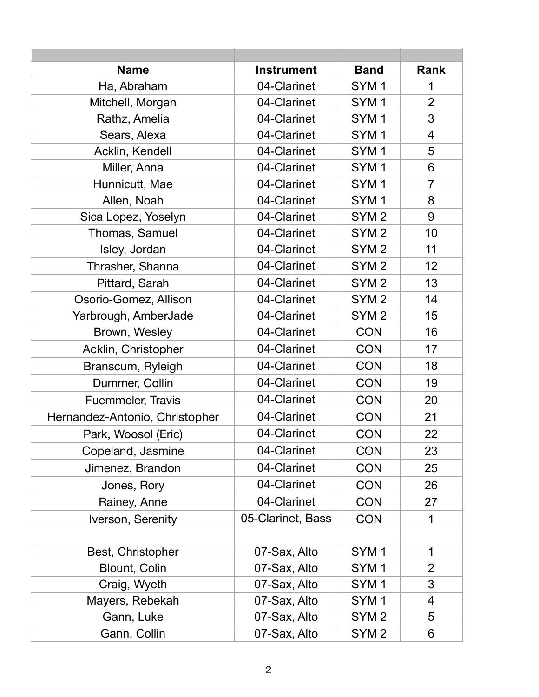| <b>Name</b>                    | <b>Instrument</b> | <b>Band</b>      | <b>Rank</b>    |
|--------------------------------|-------------------|------------------|----------------|
| Ha, Abraham                    | 04-Clarinet       | SYM <sub>1</sub> | 1              |
| Mitchell, Morgan               | 04-Clarinet       | SYM <sub>1</sub> | $\overline{2}$ |
| Rathz, Amelia                  | 04-Clarinet       | SYM <sub>1</sub> | 3              |
| Sears, Alexa                   | 04-Clarinet       | SYM <sub>1</sub> | $\overline{4}$ |
| Acklin, Kendell                | 04-Clarinet       | SYM <sub>1</sub> | 5              |
| Miller, Anna                   | 04-Clarinet       | SYM <sub>1</sub> | 6              |
| Hunnicutt, Mae                 | 04-Clarinet       | SYM <sub>1</sub> | $\overline{7}$ |
| Allen, Noah                    | 04-Clarinet       | SYM <sub>1</sub> | 8              |
| Sica Lopez, Yoselyn            | 04-Clarinet       | SYM <sub>2</sub> | 9              |
| Thomas, Samuel                 | 04-Clarinet       | SYM <sub>2</sub> | 10             |
| Isley, Jordan                  | 04-Clarinet       | SYM <sub>2</sub> | 11             |
| Thrasher, Shanna               | 04-Clarinet       | SYM <sub>2</sub> | 12             |
| Pittard, Sarah                 | 04-Clarinet       | SYM <sub>2</sub> | 13             |
| Osorio-Gomez, Allison          | 04-Clarinet       | SYM <sub>2</sub> | 14             |
| Yarbrough, AmberJade           | 04-Clarinet       | SYM <sub>2</sub> | 15             |
| Brown, Wesley                  | 04-Clarinet       | <b>CON</b>       | 16             |
| Acklin, Christopher            | 04-Clarinet       | <b>CON</b>       | 17             |
| Branscum, Ryleigh              | 04-Clarinet       | <b>CON</b>       | 18             |
| Dummer, Collin                 | 04-Clarinet       | <b>CON</b>       | 19             |
| Fuemmeler, Travis              | 04-Clarinet       | <b>CON</b>       | 20             |
| Hernandez-Antonio, Christopher | 04-Clarinet       | <b>CON</b>       | 21             |
| Park, Woosol (Eric)            | 04-Clarinet       | <b>CON</b>       | 22             |
| Copeland, Jasmine              | 04-Clarinet       | <b>CON</b>       | 23             |
| Jimenez, Brandon               | 04-Clarinet       | <b>CON</b>       | 25             |
| Jones, Rory                    | 04-Clarinet       | <b>CON</b>       | 26             |
| Rainey, Anne                   | 04-Clarinet       | <b>CON</b>       | 27             |
| Iverson, Serenity              | 05-Clarinet, Bass | <b>CON</b>       | 1              |
|                                |                   |                  |                |
| Best, Christopher              | 07-Sax, Alto      | SYM <sub>1</sub> | 1              |
| <b>Blount, Colin</b>           | 07-Sax, Alto      | SYM <sub>1</sub> | $\overline{2}$ |
| Craig, Wyeth                   | 07-Sax, Alto      | SYM <sub>1</sub> | 3              |
| Mayers, Rebekah                | 07-Sax, Alto      | SYM <sub>1</sub> | 4              |
| Gann, Luke                     | 07-Sax, Alto      | SYM <sub>2</sub> | 5              |
| Gann, Collin                   | 07-Sax, Alto      | SYM <sub>2</sub> | 6              |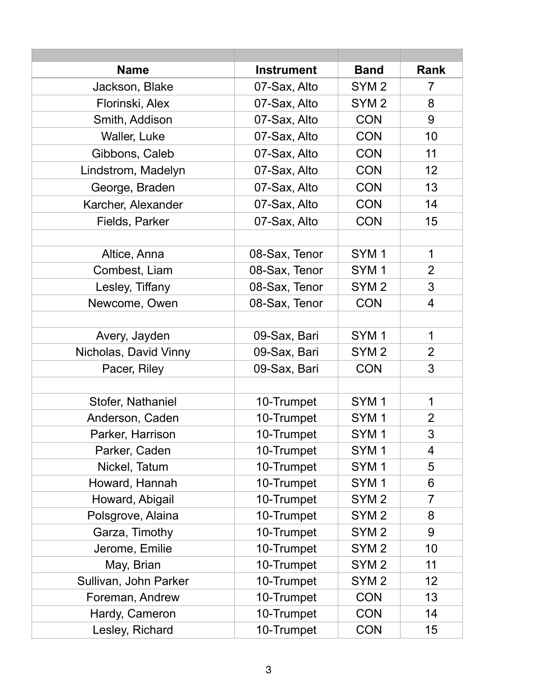| <b>Name</b>           | <b>Instrument</b> | <b>Band</b>      | <b>Rank</b>    |
|-----------------------|-------------------|------------------|----------------|
| Jackson, Blake        | 07-Sax, Alto      | SYM <sub>2</sub> | 7              |
| Florinski, Alex       | 07-Sax, Alto      | SYM <sub>2</sub> | 8              |
| Smith, Addison        | 07-Sax, Alto      | <b>CON</b>       | 9              |
| Waller, Luke          | 07-Sax, Alto      | <b>CON</b>       | 10             |
| Gibbons, Caleb        | 07-Sax, Alto      | <b>CON</b>       | 11             |
| Lindstrom, Madelyn    | 07-Sax, Alto      | <b>CON</b>       | 12             |
| George, Braden        | 07-Sax, Alto      | <b>CON</b>       | 13             |
| Karcher, Alexander    | 07-Sax, Alto      | <b>CON</b>       | 14             |
| Fields, Parker        | 07-Sax, Alto      | <b>CON</b>       | 15             |
|                       |                   |                  |                |
| Altice, Anna          | 08-Sax, Tenor     | SYM <sub>1</sub> | $\mathbf{1}$   |
| Combest, Liam         | 08-Sax, Tenor     | SYM <sub>1</sub> | $\overline{2}$ |
| Lesley, Tiffany       | 08-Sax, Tenor     | SYM <sub>2</sub> | 3              |
| Newcome, Owen         | 08-Sax, Tenor     | <b>CON</b>       | 4              |
|                       |                   |                  |                |
| Avery, Jayden         | 09-Sax, Bari      | SYM <sub>1</sub> | 1              |
| Nicholas, David Vinny | 09-Sax, Bari      | SYM <sub>2</sub> | $\overline{2}$ |
| Pacer, Riley          | 09-Sax, Bari      | <b>CON</b>       | 3              |
|                       |                   |                  |                |
| Stofer, Nathaniel     | 10-Trumpet        | SYM <sub>1</sub> | 1              |
| Anderson, Caden       | 10-Trumpet        | SYM <sub>1</sub> | $\overline{2}$ |
| Parker, Harrison      | 10-Trumpet        | SYM <sub>1</sub> | 3              |
| Parker, Caden         | 10-Trumpet        | SYM <sub>1</sub> | 4              |
| Nickel, Tatum         | 10-Trumpet        | SYM <sub>1</sub> | 5              |
| Howard, Hannah        | 10-Trumpet        | SYM <sub>1</sub> | 6              |
| Howard, Abigail       | 10-Trumpet        | SYM <sub>2</sub> | $\overline{7}$ |
| Polsgrove, Alaina     | 10-Trumpet        | SYM <sub>2</sub> | 8              |
| Garza, Timothy        | 10-Trumpet        | SYM <sub>2</sub> | 9              |
| Jerome, Emilie        | 10-Trumpet        | SYM <sub>2</sub> | 10             |
| May, Brian            | 10-Trumpet        | SYM <sub>2</sub> | 11             |
| Sullivan, John Parker | 10-Trumpet        | SYM <sub>2</sub> | 12             |
| Foreman, Andrew       | 10-Trumpet        | <b>CON</b>       | 13             |
| Hardy, Cameron        | 10-Trumpet        | <b>CON</b>       | 14             |
| Lesley, Richard       | 10-Trumpet        | <b>CON</b>       | 15             |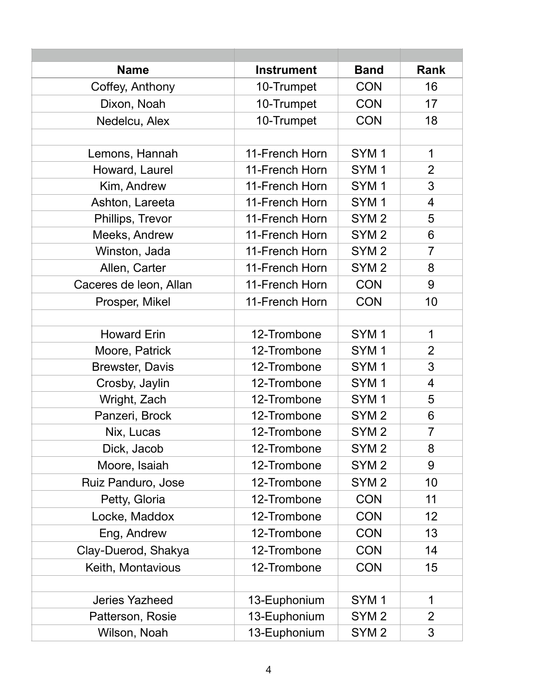| <b>Name</b>            | <b>Instrument</b> | <b>Band</b>      | <b>Rank</b>    |
|------------------------|-------------------|------------------|----------------|
| Coffey, Anthony        | 10-Trumpet        | <b>CON</b>       | 16             |
| Dixon, Noah            | 10-Trumpet        | <b>CON</b>       | 17             |
| Nedelcu, Alex          | 10-Trumpet        | <b>CON</b>       | 18             |
|                        |                   |                  |                |
| Lemons, Hannah         | 11-French Horn    | SYM <sub>1</sub> | $\mathbf{1}$   |
| Howard, Laurel         | 11-French Horn    | SYM <sub>1</sub> | $\overline{2}$ |
| Kim, Andrew            | 11-French Horn    | SYM <sub>1</sub> | 3              |
| Ashton, Lareeta        | 11-French Horn    | SYM <sub>1</sub> | $\overline{4}$ |
| Phillips, Trevor       | 11-French Horn    | SYM <sub>2</sub> | 5              |
| Meeks, Andrew          | 11-French Horn    | SYM <sub>2</sub> | 6              |
| Winston, Jada          | 11-French Horn    | SYM <sub>2</sub> | $\overline{7}$ |
| Allen, Carter          | 11-French Horn    | SYM <sub>2</sub> | 8              |
| Caceres de leon, Allan | 11-French Horn    | <b>CON</b>       | 9              |
| Prosper, Mikel         | 11-French Horn    | <b>CON</b>       | 10             |
|                        |                   |                  |                |
| <b>Howard Erin</b>     | 12-Trombone       | SYM <sub>1</sub> | $\mathbf 1$    |
| Moore, Patrick         | 12-Trombone       | SYM <sub>1</sub> | $\overline{2}$ |
| <b>Brewster, Davis</b> | 12-Trombone       | SYM <sub>1</sub> | 3              |
| Crosby, Jaylin         | 12-Trombone       | SYM <sub>1</sub> | $\overline{4}$ |
| Wright, Zach           | 12-Trombone       | SYM <sub>1</sub> | 5              |
| Panzeri, Brock         | 12-Trombone       | SYM <sub>2</sub> | 6              |
| Nix, Lucas             | 12-Trombone       | SYM <sub>2</sub> | $\overline{7}$ |
| Dick, Jacob            | 12-Trombone       | SYM <sub>2</sub> | 8              |
| Moore, Isaiah          | 12-Trombone       | SYM <sub>2</sub> | 9              |
| Ruiz Panduro, Jose     | 12-Trombone       | SYM <sub>2</sub> | 10             |
| Petty, Gloria          | 12-Trombone       | <b>CON</b>       | 11             |
| Locke, Maddox          | 12-Trombone       | <b>CON</b>       | 12             |
| Eng, Andrew            | 12-Trombone       | <b>CON</b>       | 13             |
| Clay-Duerod, Shakya    | 12-Trombone       | <b>CON</b>       | 14             |
| Keith, Montavious      | 12-Trombone       | <b>CON</b>       | 15             |
|                        |                   |                  |                |
| <b>Jeries Yazheed</b>  | 13-Euphonium      | SYM <sub>1</sub> | 1              |
| Patterson, Rosie       | 13-Euphonium      | SYM <sub>2</sub> | $\overline{2}$ |
| Wilson, Noah           | 13-Euphonium      | SYM <sub>2</sub> | 3              |